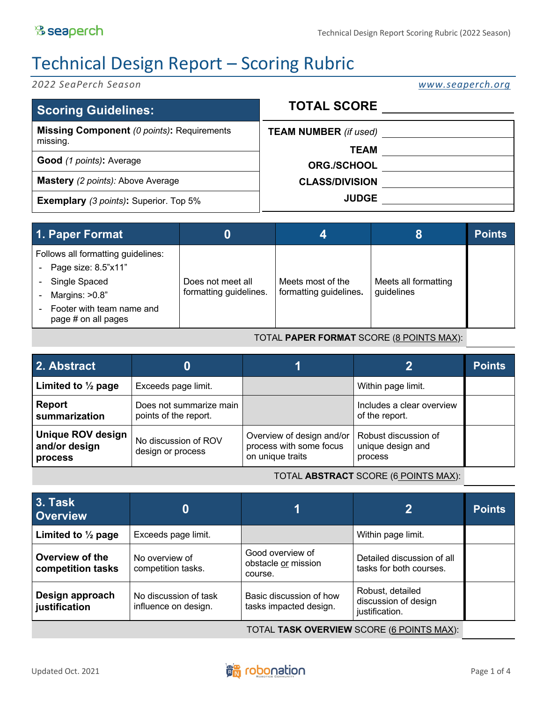# Technical Design Report – Scoring Rubric

*2022 SeaPerch Season www.seaperch.org*

| <b>Scoring Guidelines:</b>                                    | <b>TOTAL SCORE</b>                          |  |
|---------------------------------------------------------------|---------------------------------------------|--|
| <b>Missing Component (0 points): Requirements</b><br>missing. | <b>TEAM NUMBER</b> (if used)<br><b>TEAM</b> |  |
| <b>Good</b> (1 points): Average                               | <b>ORG./SCHOOL</b>                          |  |
| <b>Mastery</b> (2 points): Above Average                      | <b>CLASS/DIVISION</b>                       |  |
| <b>Exemplary</b> (3 points): Superior. Top 5%                 | <b>JUDGE</b>                                |  |

| 1. Paper Format                                                                                                                                                |                                             |                                             |                                    | <b>Points</b> |
|----------------------------------------------------------------------------------------------------------------------------------------------------------------|---------------------------------------------|---------------------------------------------|------------------------------------|---------------|
| Follows all formatting guidelines:<br>- Page size: $8.5$ " $\times$ 11"<br>Single Spaced<br>Margins: >0.8"<br>Footer with team name and<br>page # on all pages | Does not meet all<br>formatting guidelines. | Meets most of the<br>formatting guidelines. | Meets all formatting<br>guidelines |               |

#### TOTAL **PAPER FORMAT** SCORE (8 POINTS MAX):

| 2. Abstract                                                 | O)                                               |                                                                          |                                                      | <b>Points</b> |
|-------------------------------------------------------------|--------------------------------------------------|--------------------------------------------------------------------------|------------------------------------------------------|---------------|
| Limited to $\frac{1}{2}$ page                               | Exceeds page limit.                              |                                                                          | Within page limit.                                   |               |
| <b>Report</b><br>summarization                              | Does not summarize main<br>points of the report. |                                                                          | Includes a clear overview<br>of the report.          |               |
| <b>Unique ROV design</b><br>and/or design<br><b>process</b> | No discussion of ROV<br>design or process        | Overview of design and/or<br>process with some focus<br>on unique traits | Robust discussion of<br>unique design and<br>process |               |

#### TOTAL **ABSTRACT** SCORE (6 POINTS MAX):

| <b>3. Task</b><br><b>Overview</b>         | 0                                             |                                                    | $\overline{2}$                                             | <b>Points</b> |
|-------------------------------------------|-----------------------------------------------|----------------------------------------------------|------------------------------------------------------------|---------------|
| Limited to $\frac{1}{2}$ page             | Exceeds page limit.                           |                                                    | Within page limit.                                         |               |
| Overview of the<br>competition tasks      | No overview of<br>competition tasks.          | Good overview of<br>obstacle or mission<br>course. | Detailed discussion of all<br>tasks for both courses.      |               |
| Design approach<br>justification          | No discussion of task<br>influence on design. | Basic discussion of how<br>tasks impacted design.  | Robust, detailed<br>discussion of design<br>justification. |               |
| TOTAL TASK OVERVIEW SCORE (6 POINTS MAX): |                                               |                                                    |                                                            |               |

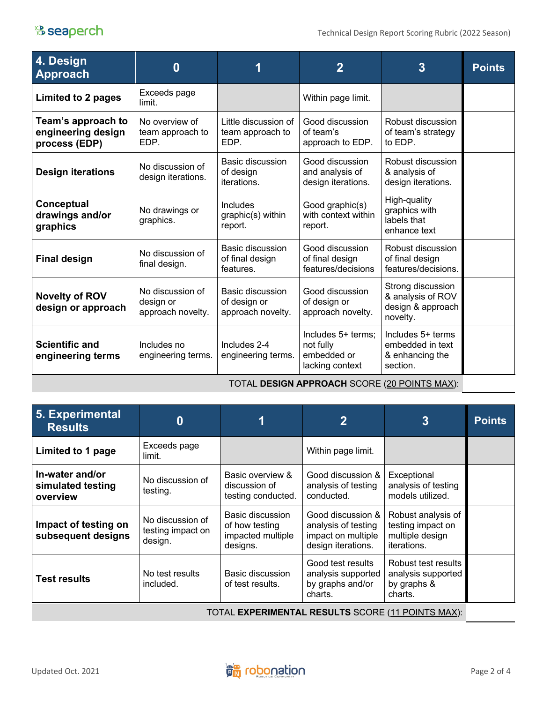## <sup>8</sup> seaperch

| 4. Design<br><b>Approach</b>                              | $\bf{0}$                                           |                                                       | $\overline{2}$                                                    | $\overline{3}$                                                          | <b>Points</b> |
|-----------------------------------------------------------|----------------------------------------------------|-------------------------------------------------------|-------------------------------------------------------------------|-------------------------------------------------------------------------|---------------|
| Limited to 2 pages                                        | Exceeds page<br>limit.                             |                                                       | Within page limit.                                                |                                                                         |               |
| Team's approach to<br>engineering design<br>process (EDP) | No overview of<br>team approach to<br>EDP.         | Little discussion of<br>team approach to<br>EDP.      | Good discussion<br>of team's<br>approach to EDP.                  | Robust discussion<br>of team's strategy<br>to EDP.                      |               |
| <b>Design iterations</b>                                  | No discussion of<br>design iterations.             | Basic discussion<br>of design<br>iterations.          | Good discussion<br>and analysis of<br>design iterations.          | Robust discussion<br>& analysis of<br>design iterations.                |               |
| Conceptual<br>drawings and/or<br>graphics                 | No drawings or<br>graphics.                        | Includes<br>graphic(s) within<br>report.              | Good graphic(s)<br>with context within<br>report.                 | High-quality<br>graphics with<br>labels that<br>enhance text            |               |
| <b>Final design</b>                                       | No discussion of<br>final design.                  | Basic discussion<br>of final design<br>features.      | Good discussion<br>of final design<br>features/decisions          | Robust discussion<br>of final design<br>features/decisions.             |               |
| <b>Novelty of ROV</b><br>design or approach               | No discussion of<br>design or<br>approach novelty. | Basic discussion<br>of design or<br>approach novelty. | Good discussion<br>of design or<br>approach novelty.              | Strong discussion<br>& analysis of ROV<br>design & approach<br>novelty. |               |
| <b>Scientific and</b><br>engineering terms                | Includes no<br>engineering terms.                  | Includes 2-4<br>engineering terms.                    | Includes 5+ terms;<br>not fully<br>embedded or<br>lacking context | Includes 5+ terms<br>embedded in text<br>& enhancing the<br>section.    |               |

TOTAL **DESIGN APPROACH** SCORE (20 POINTS MAX):

| 5. Experimental<br><b>Results</b>                        | $\bf{0}$                                         |                                                                     | $\mathbf 2$                                                                          | $\overline{3}$                                                                   | <b>Points</b> |
|----------------------------------------------------------|--------------------------------------------------|---------------------------------------------------------------------|--------------------------------------------------------------------------------------|----------------------------------------------------------------------------------|---------------|
| Limited to 1 page                                        | Exceeds page<br>limit.                           |                                                                     | Within page limit.                                                                   |                                                                                  |               |
| In-water and/or<br>simulated testing<br>overview         | No discussion of<br>testing.                     | Basic overview &<br>discussion of<br>testing conducted.             | Good discussion &<br>analysis of testing<br>conducted.                               | Exceptional<br>analysis of testing<br>models utilized.                           |               |
| Impact of testing on<br>subsequent designs               | No discussion of<br>testing impact on<br>design. | Basic discussion<br>of how testing<br>impacted multiple<br>designs. | Good discussion &<br>analysis of testing<br>impact on multiple<br>design iterations. | Robust analysis of<br>testing impact on<br>multiple design<br><i>iterations.</i> |               |
| <b>Test results</b>                                      | No test results<br>included.                     | Basic discussion<br>of test results.                                | Good test results<br>analysis supported<br>by graphs and/or<br>charts.               | Robust test results<br>analysis supported<br>by graphs &<br>charts.              |               |
| TOTAL <b>EXPERIMENTAL RESULTS</b> SCORE (11 POINTS MAX): |                                                  |                                                                     |                                                                                      |                                                                                  |               |

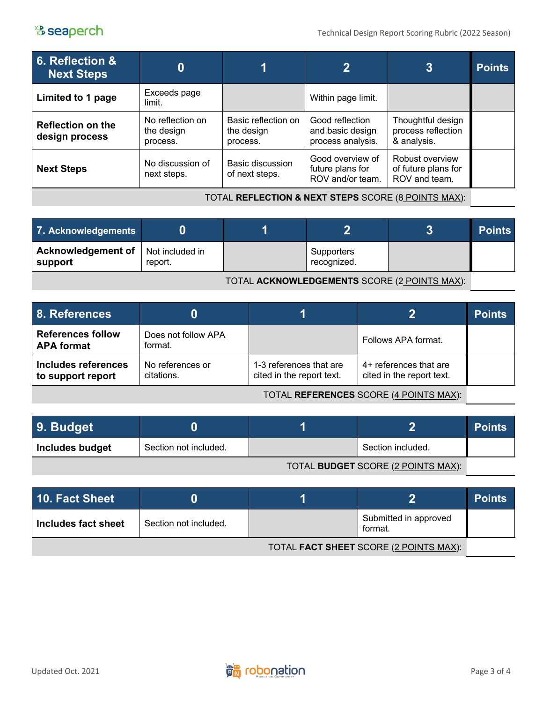### <sup>8</sup> seaperch

| 6. Reflection &<br><b>Next Steps</b>       |                                            |                                               | $\overline{\mathbf{2}}$                                  | $\overline{3}$                                          | <b>Points</b> |
|--------------------------------------------|--------------------------------------------|-----------------------------------------------|----------------------------------------------------------|---------------------------------------------------------|---------------|
| Limited to 1 page                          | Exceeds page<br>limit.                     |                                               | Within page limit.                                       |                                                         |               |
| <b>Reflection on the</b><br>design process | No reflection on<br>the design<br>process. | Basic reflection on<br>the design<br>process. | Good reflection<br>and basic design<br>process analysis. | Thoughtful design<br>process reflection<br>& analysis.  |               |
| <b>Next Steps</b>                          | No discussion of<br>next steps.            | Basic discussion<br>of next steps.            | Good overview of<br>future plans for<br>ROV and/or team. | Robust overview<br>of future plans for<br>ROV and team. |               |

TOTAL **REFLECTION & NEXT STEPS** SCORE (8 POINTS MAX):

| 7. Acknowledgements                                    |         |  |                           |  | <b>Points</b> |
|--------------------------------------------------------|---------|--|---------------------------|--|---------------|
| <b>Acknowledgement of</b>   Not included in<br>support | report. |  | Supporters<br>recognized. |  |               |
|                                                        |         |  |                           |  |               |

TOTAL **ACKNOWLEDGEMENTS** SCORE (2 POINTS MAX):

| <b>8. References</b>                          |                                |                                                      |                                                     | <b>Points</b> |
|-----------------------------------------------|--------------------------------|------------------------------------------------------|-----------------------------------------------------|---------------|
| <b>References follow</b><br><b>APA format</b> | Does not follow APA<br>format. |                                                      | Follows APA format.                                 |               |
| Includes references<br>to support report      | No references or<br>citations. | 1-3 references that are<br>cited in the report text. | 4+ references that are<br>cited in the report text. |               |

TOTAL **REFERENCES** SCORE (4 POINTS MAX):

| 9. Budget       |                       |                   | <b>Points</b> |
|-----------------|-----------------------|-------------------|---------------|
| Includes budget | Section not included. | Section included. |               |

TOTAL **BUDGET** SCORE (2 POINTS MAX):

| 10. Fact Sheet                         |                       |  |                                  | <b>Points</b> |
|----------------------------------------|-----------------------|--|----------------------------------|---------------|
| Includes fact sheet                    | Section not included. |  | Submitted in approved<br>format. |               |
| TOTAL FACT SHEET SCORE (2 POINTS MAX): |                       |  |                                  |               |